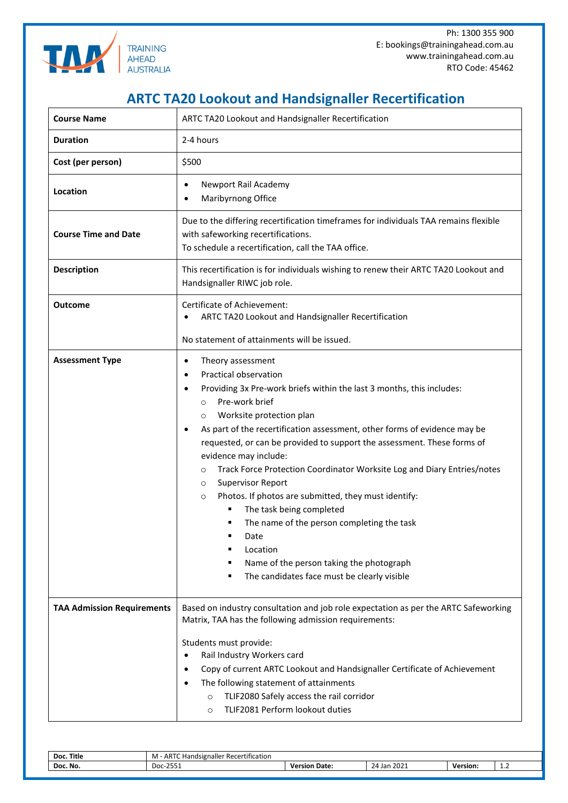

Ph: 1300 355 900 E: bookings@trainingahead.com.au www.trainingahead.com.au RTO Code: 45462

## **ARTC TA20 Lookout and Handsignaller Recertification**

| <b>Course Name</b>                | ARTC TA20 Lookout and Handsignaller Recertification                                                                                                                                                                                                                                                                                                                                                                                                                                                                                                                                                                                                                                                                                                                                              |  |  |  |
|-----------------------------------|--------------------------------------------------------------------------------------------------------------------------------------------------------------------------------------------------------------------------------------------------------------------------------------------------------------------------------------------------------------------------------------------------------------------------------------------------------------------------------------------------------------------------------------------------------------------------------------------------------------------------------------------------------------------------------------------------------------------------------------------------------------------------------------------------|--|--|--|
| <b>Duration</b>                   | 2-4 hours                                                                                                                                                                                                                                                                                                                                                                                                                                                                                                                                                                                                                                                                                                                                                                                        |  |  |  |
| Cost (per person)                 | \$500                                                                                                                                                                                                                                                                                                                                                                                                                                                                                                                                                                                                                                                                                                                                                                                            |  |  |  |
| Location                          | Newport Rail Academy<br>٠<br>Maribyrnong Office                                                                                                                                                                                                                                                                                                                                                                                                                                                                                                                                                                                                                                                                                                                                                  |  |  |  |
| <b>Course Time and Date</b>       | Due to the differing recertification timeframes for individuals TAA remains flexible<br>with safeworking recertifications.<br>To schedule a recertification, call the TAA office.                                                                                                                                                                                                                                                                                                                                                                                                                                                                                                                                                                                                                |  |  |  |
| <b>Description</b>                | This recertification is for individuals wishing to renew their ARTC TA20 Lookout and<br>Handsignaller RIWC job role.                                                                                                                                                                                                                                                                                                                                                                                                                                                                                                                                                                                                                                                                             |  |  |  |
| <b>Outcome</b>                    | Certificate of Achievement:<br>ARTC TA20 Lookout and Handsignaller Recertification<br>No statement of attainments will be issued.                                                                                                                                                                                                                                                                                                                                                                                                                                                                                                                                                                                                                                                                |  |  |  |
| <b>Assessment Type</b>            | Theory assessment<br>$\bullet$<br>Practical observation<br>Providing 3x Pre-work briefs within the last 3 months, this includes:<br>٠<br>Pre-work brief<br>$\circ$<br>Worksite protection plan<br>$\circ$<br>As part of the recertification assessment, other forms of evidence may be<br>$\bullet$<br>requested, or can be provided to support the assessment. These forms of<br>evidence may include:<br>Track Force Protection Coordinator Worksite Log and Diary Entries/notes<br>$\circ$<br><b>Supervisor Report</b><br>$\circ$<br>Photos. If photos are submitted, they must identify:<br>$\circ$<br>The task being completed<br>The name of the person completing the task<br>Date<br>Location<br>Name of the person taking the photograph<br>The candidates face must be clearly visible |  |  |  |
| <b>TAA Admission Requirements</b> | Based on industry consultation and job role expectation as per the ARTC Safeworking<br>Matrix, TAA has the following admission requirements:<br>Students must provide:<br>Rail Industry Workers card<br>Copy of current ARTC Lookout and Handsignaller Certificate of Achievement<br>The following statement of attainments<br>TLIF2080 Safely access the rail corridor<br>$\circ$<br>TLIF2081 Perform lookout duties<br>$\circ$                                                                                                                                                                                                                                                                                                                                                                 |  |  |  |

| Doc. Title | - ARTC $F$<br>$\cdot$ $\cdot$<br>Handsignaller<br>: Recertification.<br>M |                  |                     |                 |            |  |
|------------|---------------------------------------------------------------------------|------------------|---------------------|-----------------|------------|--|
| Doc. No.   | <b>DEE</b><br>n.,<br><b>DUC</b><br>-2331                                  | Date:<br>Version | 2021 ו<br>Jan<br>24 | <b>Version:</b> | . <u>.</u> |  |
|            |                                                                           |                  |                     |                 |            |  |